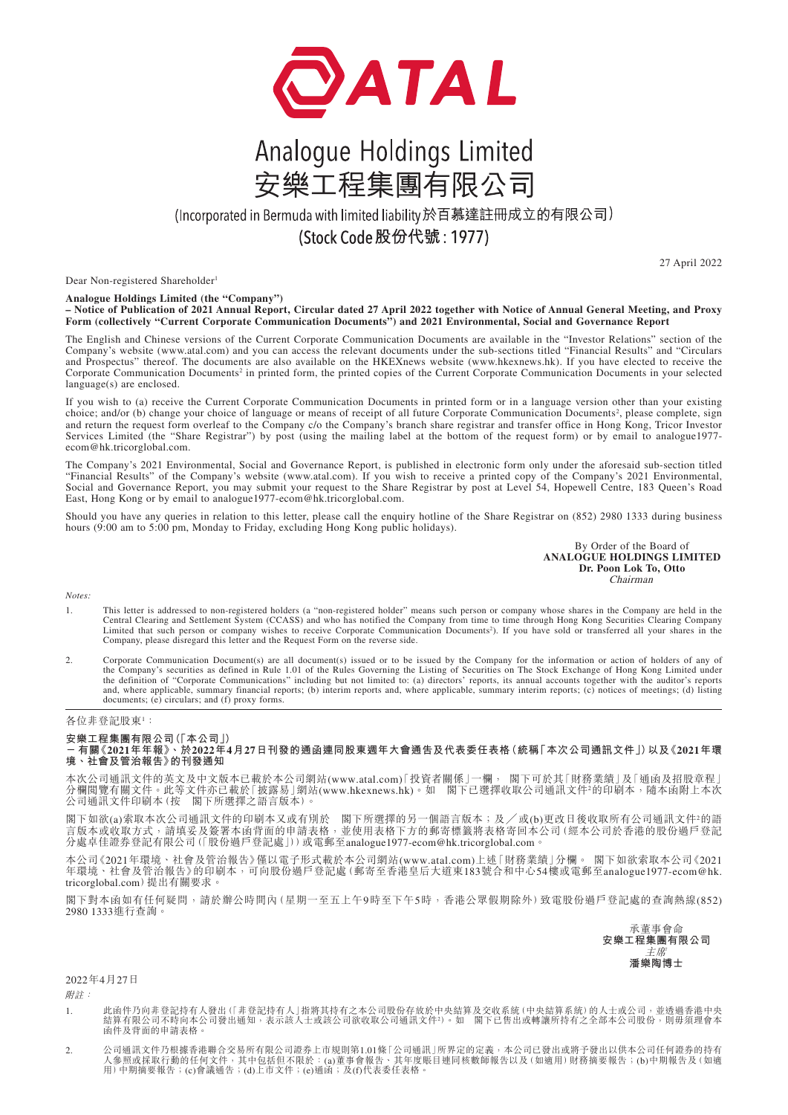

## Analogue Holdings Limited 安樂工程集團有限公司

(Incorporated in Bermuda with limited liability於百慕達註冊成立的有限公司)

(Stock Code 股份代號: 1977)

27 April 2022

Dear Non-registered Shareholder<sup>1</sup>

**Analogue Holdings Limited (the "Company") – Notice of Publication of 2021 Annual Report, Circular dated 27 April 2022 together with Notice of Annual General Meeting, and Proxy Form (collectively "Current Corporate Communication Documents") and 2021 Environmental, Social and Governance Report**

The English and Chinese versions of the Current Corporate Communication Documents are available in the "Investor Relations" section of the Company's website (www.atal.com) and you can access the relevant documents under the sub-sections titled "Financial Results" and "Circulars and Prospectus" thereof. The documents are also available on the HKEXnews website (www.hkexnews.hk). If you have elected to receive the Corporate Communication Documents<sup>2</sup> in printed form, the printed copies of the Current Corporate Communication Documents in your selected language(s) are enclosed.

If you wish to (a) receive the Current Corporate Communication Documents in printed form or in a language version other than your existing choice; and/or (b) change your choice of language or means of receipt of all future Corporate Communication Documents<sup>2</sup>, please complete, sign and return the request form overleaf to the Company c/o the Company's branch share registrar and transfer office in Hong Kong, Tricor Investor Services Limited (the "Share Registrar") by post (using the mailing label at the bottom of the request form) or by email to analogue1977ecom@hk.tricorglobal.com.

The Company's 2021 Environmental, Social and Governance Report, is published in electronic form only under the aforesaid sub-section titled "Financial Results" of the Company's website (www.atal.com). If you wish to receive a printed copy of the Company's 2021 Environmental, Social and Governance Report, you may submit your request to the Share Registrar by post at Level 54, Hopewell Centre, 183 Queen's Road East, Hong Kong or by email to analogue1977-ecom@hk.tricorglobal.com.

Should you have any queries in relation to this letter, please call the enquiry hotline of the Share Registrar on (852) 2980 1333 during business hours (9:00 am to 5:00 pm, Monday to Friday, excluding Hong Kong public holidays).

> By Order of the Board of **ANALOGUE HOLDINGS LIMITED Dr. Poon Lok To, Otto** Chairman

*Notes:*

- 1. This letter is addressed to non-registered holders (a "non-registered holder" means such person or company whose shares in the Company are held in the Central Clearing and Settlement System (CCASS) and who has notified the Company from time to time through Hong Kong Securities Clearing Company Limited that such person or company wishes to receive Corporate Communication Documents2 ). If you have sold or transferred all your shares in the Company, please disregard this letter and the Request Form on the reverse side.
- 2. Corporate Communication Document(s) are all document(s) issued or to be issued by the Company for the information or action of holders of any of the Company's securities as defined in Rule 1.01 of the Rules Governing th and, where applicable, summary financial reports; (b) interim reports and, where applicable, summary interim reports; (c) notices of meetings; (d) listing documents; (e) circulars; and (f) proxy forms.

## 各位非登記股東!:

**安樂工程集團有限公司(「本公司」)**

**- 有關《2021年年報》、於2022年4月27日刊發的通函連同股東週年大會通告及代表委任表格(統稱「本次公司通訊文件」)以及《2021年環 境、社會及管治報告》的刊發通知**

本次公司通訊文件的英文及中文版本已載於本公司網站(www.atal.com)「投資者關係」一欄, 閣下可於其「財務業績」及「通函及招股章程」 分欄閲覽有關文件。此等文件亦已載於「披露易」網站(www.hkexnews.hk)。如 閣下已選擇收取公司通訊文件^的印刷本,隨本函附上本次 公司通訊文件印刷本(按 閣下所選擇之語言版本)。

閣下如欲(a)索取本次公司通訊文件的印刷本又或有別於 閣下所選擇的另一個語言版本;及/或(b)更改日後收取所有公司通訊文件?的語 言版本或收取方式,請填妥及簽署本函背面的申請表格,並使用表格下方的郵寄標籤將表格寄回本公司(經本公司於香港的股份過戶登記 分處卓佳證券登記有限公司 (「股份過戶登記處」))或電郵至analogue1977-ecom@hk.tricorglobal.com。

本公司《2021年環境、社會及管治報告》僅以電子形式載於本公司網站(www.atal.com)上述「財務業績」分欄。 閣下如欲索取本公司《2021 年環境、社會及管治報告》的印刷本,可向股份過戶登記處(郵寄至香港皇后大道東183號合和中心54樓或電郵至analogue1977-ecom@hk. tricorglobal.com)提出有關要求。

閣下對本函如有任何疑問,請於辦公時間內(星期一至五上午9時至下午5時,香港公眾假期除外)致電股份過戶登記處的查詢熱線(852) 2980 1333進行查詢。

承董事會命 **安樂工程集團有限公司** 主席 **潘樂陶博士**

2022年4月27日

附註:

- 1. 此函件乃向非登記持有人努力报告人」指將其持有之本公司股份存放於中央結算及交收系統 (中央結算系統) 的人士或公司,並透過香港中央<br>結算有限公司不時向本公司發出通知,表示該人士或該公司欲收取公司通訊文件?)。如 閣下已售出或轉讓所持有之全部本公司股份,則毋須理會本 函件及背面的申請表格。
- 2. 公司通訊文件乃根據香港聯合交易所有限公司證券上市規則第1.01條「公司通訊」所界定的定義,本公司已發出或將予發出以供本公司任何證券的持有<br>人參照或採取行動的任何文件,其中包括但不限於:(a)董事會報告、其年度賬目連同核數師報告以及(如適用)財務摘要報告;(b)中期報告及(如適<br>用)中期摘要報告;(c)會議通告;(d)上市文件;(e)通函;及(f)代表委任表格。